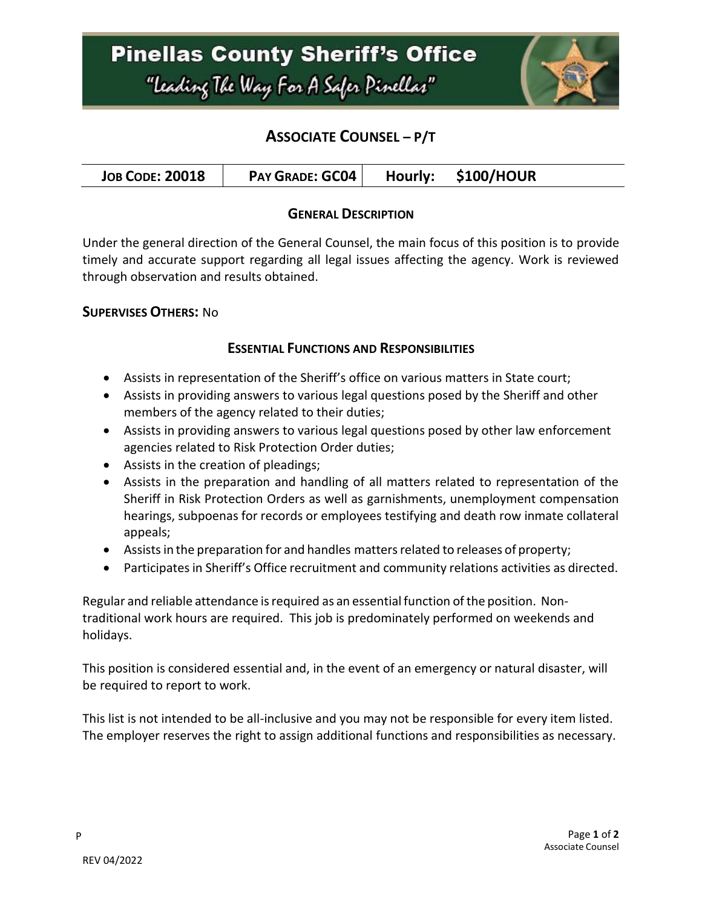## **ASSOCIATE COUNSEL – P/T**

| <b>JOB CODE: 20018</b> | <b>PAY GRADE: GC04</b> |  | Hourly: \$100/HOUR |  |
|------------------------|------------------------|--|--------------------|--|
|------------------------|------------------------|--|--------------------|--|

### **GENERAL DESCRIPTION**

Under the general direction of the General Counsel, the main focus of this position is to provide timely and accurate support regarding all legal issues affecting the agency. Work is reviewed through observation and results obtained.

### **SUPERVISES OTHERS:** No

### **ESSENTIAL FUNCTIONS AND RESPONSIBILITIES**

- Assists in representation of the Sheriff's office on various matters in State court;
- Assists in providing answers to various legal questions posed by the Sheriff and other members of the agency related to their duties;
- Assists in providing answers to various legal questions posed by other law enforcement agencies related to Risk Protection Order duties;
- Assists in the creation of pleadings;
- Assists in the preparation and handling of all matters related to representation of the Sheriff in Risk Protection Orders as well as garnishments, unemployment compensation hearings, subpoenas for records or employees testifying and death row inmate collateral appeals;
- Assists in the preparation for and handles matters related to releases of property;
- Participatesin Sheriff's Office recruitment and community relations activities as directed.

Regular and reliable attendance is required as an essential function of the position. Nontraditional work hours are required. This job is predominately performed on weekends and holidays.

This position is considered essential and, in the event of an emergency or natural disaster, will be required to report to work.

This list is not intended to be all-inclusive and you may not be responsible for every item listed. The employer reserves the right to assign additional functions and responsibilities as necessary.